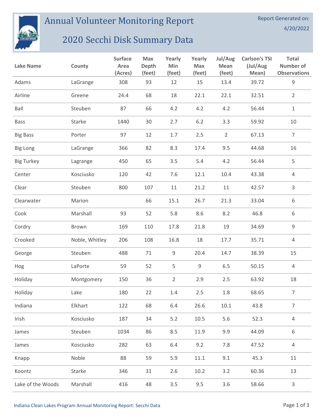

Annual Volunteer Monitoring Report

## 2020 Secchi Disk Summary Data

| <b>Lake Name</b>  | County         | <b>Surface</b><br>Area<br>(Acres) | <b>Max</b><br>Depth<br>(feet) | Yearly<br>Min<br>(feet) | Yearly<br>Max<br>(feet) | Jul/Aug<br>Mean<br>(feet) | <b>Carlson's TSI</b><br>(Jul/Aug<br>Mean) | <b>Total</b><br>Number of<br><b>Observations</b> |
|-------------------|----------------|-----------------------------------|-------------------------------|-------------------------|-------------------------|---------------------------|-------------------------------------------|--------------------------------------------------|
| Adams             | LaGrange       | 308                               | 93                            | 12                      | 15                      | 13.4                      | 39.72                                     | $\mathsf 9$                                      |
| Airline           | Greene         | 24.4                              | 68                            | 18                      | 22.1                    | 22.1                      | 32.51                                     | $\overline{2}$                                   |
| Ball              | Steuben        | 87                                | 66                            | 4.2                     | 4.2                     | 4.2                       | 56.44                                     | $\mathbf{1}$                                     |
| <b>Bass</b>       | Starke         | 1440                              | 30                            | 2.7                     | $6.2$                   | 3.3                       | 59.92                                     | $10\,$                                           |
| <b>Big Bass</b>   | Porter         | 97                                | 12                            | 1.7                     | 2.5                     | $\overline{2}$            | 67.13                                     | $\overline{7}$                                   |
| <b>Big Long</b>   | LaGrange       | 366                               | 82                            | 8.3                     | 17.4                    | 9.5                       | 44.68                                     | 16                                               |
| <b>Big Turkey</b> | Lagrange       | 450                               | 65                            | 3.5                     | 5.4                     | 4.2                       | 56.44                                     | 5                                                |
| Center            | Kosciusko      | 120                               | 42                            | 7.6                     | 12.1                    | 10.4                      | 43.38                                     | $\overline{4}$                                   |
| Clear             | Steuben        | 800                               | 107                           | 11                      | 21.2                    | 11                        | 42.57                                     | 3                                                |
| Clearwater        | Marion         |                                   | 66                            | 15.1                    | 26.7                    | 21.3                      | 33.04                                     | 6                                                |
| Cook              | Marshall       | 93                                | 52                            | 5.8                     | 8.6                     | 8.2                       | 46.8                                      | 6                                                |
| Cordry            | Brown          | 169                               | 110                           | 17.8                    | 21.8                    | 19                        | 34.69                                     | $\mathsf 9$                                      |
| Crooked           | Noble, Whitley | 206                               | 108                           | 16.8                    | 18                      | 17.7                      | 35.71                                     | 4                                                |
| George            | Steuben        | 488                               | 71                            | 9                       | 20.4                    | 14.7                      | 38.39                                     | 15                                               |
| Hog               | LaPorte        | 59                                | 52                            | 5                       | 9                       | 6.5                       | 50.15                                     | 4                                                |
| Holiday           | Montgomery     | 150                               | 36                            | $\overline{2}$          | 2.9                     | 2.5                       | 63.92                                     | 18                                               |
| Holiday           | Lake           | 180                               | 22                            | 1.4                     | 2.5                     | 1.8                       | 68.65                                     | $\overline{7}$                                   |
| Indiana           | Elkhart        | 122                               | 68                            | 6.4                     | 26.6                    | 10.1                      | 43.8                                      | $\overline{7}$                                   |
| Irish             | Kosciusko      | 187                               | 34                            | 5.2                     | 10.5                    | 5.6                       | 52.3                                      | $\overline{4}$                                   |
| James             | Steuben        | 1034                              | 86                            | 8.5                     | 11.9                    | 9.9                       | 44.09                                     | 6                                                |
| James             | Kosciusko      | 282                               | 63                            | 6.4                     | 9.2                     | 7.8                       | 47.52                                     | $\sqrt{4}$                                       |
| Knapp             | Noble          | 88                                | 59                            | 5.9                     | 11.1                    | 9.1                       | 45.3                                      | 11                                               |
| Koontz            | Starke         | 346                               | 31                            | 2.6                     | 10.2                    | 3.2                       | 60.36                                     | 13                                               |
| Lake of the Woods | Marshall       | 416                               | 48                            | 3.5                     | 9.5                     | 3.6                       | 58.66                                     | $\mathsf{3}$                                     |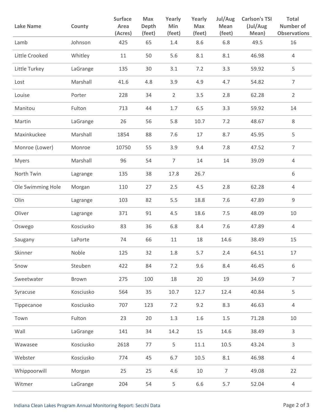| <b>Lake Name</b>  | County    | <b>Surface</b><br>Area<br>(Acres) | Max<br><b>Depth</b><br>(feet) | Yearly<br>Min<br>(feet) | Yearly<br>Max<br>(feet) | Jul/Aug<br>Mean<br>(feet) | <b>Carlson's TSI</b><br>(Jul/Aug<br>Mean) | Total<br>Number of<br><b>Observations</b> |
|-------------------|-----------|-----------------------------------|-------------------------------|-------------------------|-------------------------|---------------------------|-------------------------------------------|-------------------------------------------|
| Lamb              | Johnson   | 425                               | 65                            | 1.4                     | 8.6                     | 6.8                       | 49.5                                      | 16                                        |
| Little Crooked    | Whitley   | 11                                | 50                            | 5.6                     | 8.1                     | 8.1                       | 46.98                                     | 4                                         |
| Little Turkey     | LaGrange  | 135                               | 30                            | 3.1                     | 7.2                     | 3.3                       | 59.92                                     | 5                                         |
| Lost              | Marshall  | 41.6                              | 4.8                           | 3.9                     | 4.9                     | 4.7                       | 54.82                                     | $\overline{7}$                            |
| Louise            | Porter    | 228                               | 34                            | $\overline{2}$          | 3.5                     | 2.8                       | 62.28                                     | $\overline{2}$                            |
| Manitou           | Fulton    | 713                               | 44                            | 1.7                     | 6.5                     | 3.3                       | 59.92                                     | 14                                        |
| Martin            | LaGrange  | 26                                | 56                            | 5.8                     | 10.7                    | 7.2                       | 48.67                                     | $\,8\,$                                   |
| Maxinkuckee       | Marshall  | 1854                              | 88                            | 7.6                     | 17                      | 8.7                       | 45.95                                     | 5                                         |
| Monroe (Lower)    | Monroe    | 10750                             | 55                            | 3.9                     | 9.4                     | 7.8                       | 47.52                                     | $\overline{7}$                            |
| <b>Myers</b>      | Marshall  | 96                                | 54                            | $\overline{7}$          | 14                      | 14                        | 39.09                                     | 4                                         |
| North Twin        | Lagrange  | 135                               | 38                            | 17.8                    | 26.7                    |                           |                                           | 6                                         |
| Ole Swimming Hole | Morgan    | 110                               | 27                            | 2.5                     | 4.5                     | 2.8                       | 62.28                                     | $\overline{4}$                            |
| Olin              | Lagrange  | 103                               | 82                            | 5.5                     | 18.8                    | 7.6                       | 47.89                                     | 9                                         |
| Oliver            | Lagrange  | 371                               | 91                            | 4.5                     | 18.6                    | 7.5                       | 48.09                                     | 10                                        |
| Oswego            | Kosciusko | 83                                | 36                            | 6.8                     | 8.4                     | 7.6                       | 47.89                                     | 4                                         |
| Saugany           | LaPorte   | 74                                | 66                            | 11                      | 18                      | 14.6                      | 38.49                                     | 15                                        |
| Skinner           | Noble     | 125                               | 32                            | 1.8                     | 5.7                     | 2.4                       | 64.51                                     | 17                                        |
| Snow              | Steuben   | 422                               | 84                            | 7.2                     | 9.6                     | 8.4                       | 46.45                                     | 6                                         |
| Sweetwater        | Brown     | 275                               | 100                           | 18                      | 20                      | 19                        | 34.69                                     | $\overline{7}$                            |
| Syracuse          | Kosciusko | 564                               | 35                            | 10.7                    | 12.7                    | 12.4                      | 40.84                                     | 5                                         |
| Tippecanoe        | Kosciusko | 707                               | 123                           | 7.2                     | 9.2                     | 8.3                       | 46.63                                     | $\overline{4}$                            |
| Town              | Fulton    | 23                                | 20                            | 1.3                     | 1.6                     | $1.5\,$                   | 71.28                                     | $10\,$                                    |
| Wall              | LaGrange  | 141                               | 34                            | 14.2                    | 15                      | 14.6                      | 38.49                                     | 3                                         |
| Wawasee           | Kosciusko | 2618                              | 77                            | 5                       | 11.1                    | 10.5                      | 43.24                                     | 3                                         |
| Webster           | Kosciusko | 774                               | 45                            | 6.7                     | $10.5\,$                | 8.1                       | 46.98                                     | $\overline{4}$                            |
| Whippoorwill      | Morgan    | 25                                | 25                            | 4.6                     | 10                      | $\overline{7}$            | 49.08                                     | 22                                        |
| Witmer            | LaGrange  | 204                               | 54                            | 5                       | 6.6                     | 5.7                       | 52.04                                     | $\overline{4}$                            |